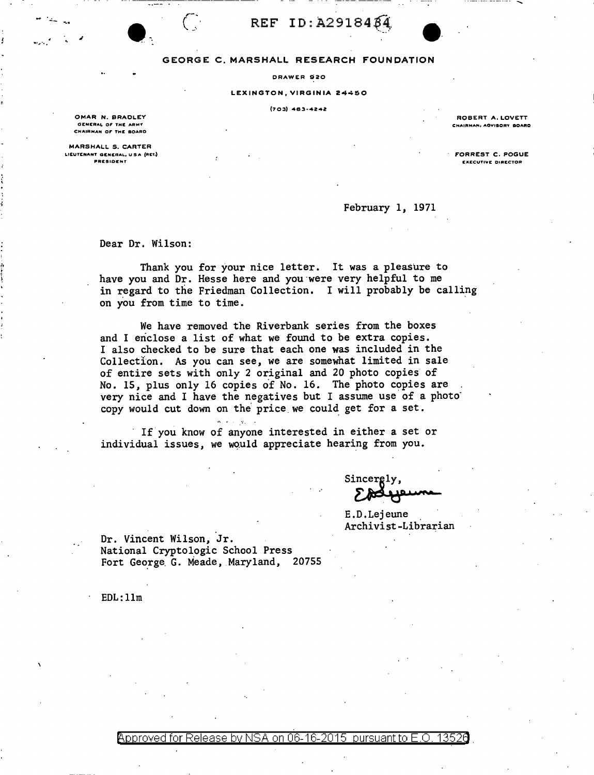REF ID: A2918484



DRAWER 920

## LEXINGTON, VIRGINIA 24450

 $(703)$  463-4242

OMAR N. BRADLEY GENERAL OF THE ARMY CHAIRMAN OF THE BOARD

MARSHALL S. CARTER LIEUTENANT GENERAL, U.S.A. (RET.) PRESIDENT

ROBERT A. LOVETT CHAIRMAN, AOVISORY BOARD

FORREST C. POGUE **EXECUTIVE DIRECTOR** 

February 1, 1971

Dear Dr. Wilson:

 $(\ \cdot$ 

Thank you for your nice letter. It was a pleasure to have you and Dr. Hesse here and you were very helpful to me in regard to the Friedman Collection. I will probably be calling on you from time to time.

We have removed the Riverbank series from the boxes and I enclose a list of what we found to be extra copies. I also checked to be sure that each one was included in the Collection. As you can see, we are somewhat limited in sale of entire sets with only 2 original and 20 photo copies of No. 15, plus only 16 copies of No. 16. The photo copies are very nice and I have the negatives but I assume use of a photo copy would cut down on the price we could get for a set.

If you know of anyone interested in either a set or individual issues, we would appreciate hearing from you.

Sincergly,

E.D.Lejeune Archivist-Librarian

Dr. Vincent Wilson, Jr. National Cryptologic School Press Fort George G. Meade, Maryland, 20755

 $EDL:11m$ 

Approved for Release by NSA on 06-16-2015 pursuant to E.O. 13526